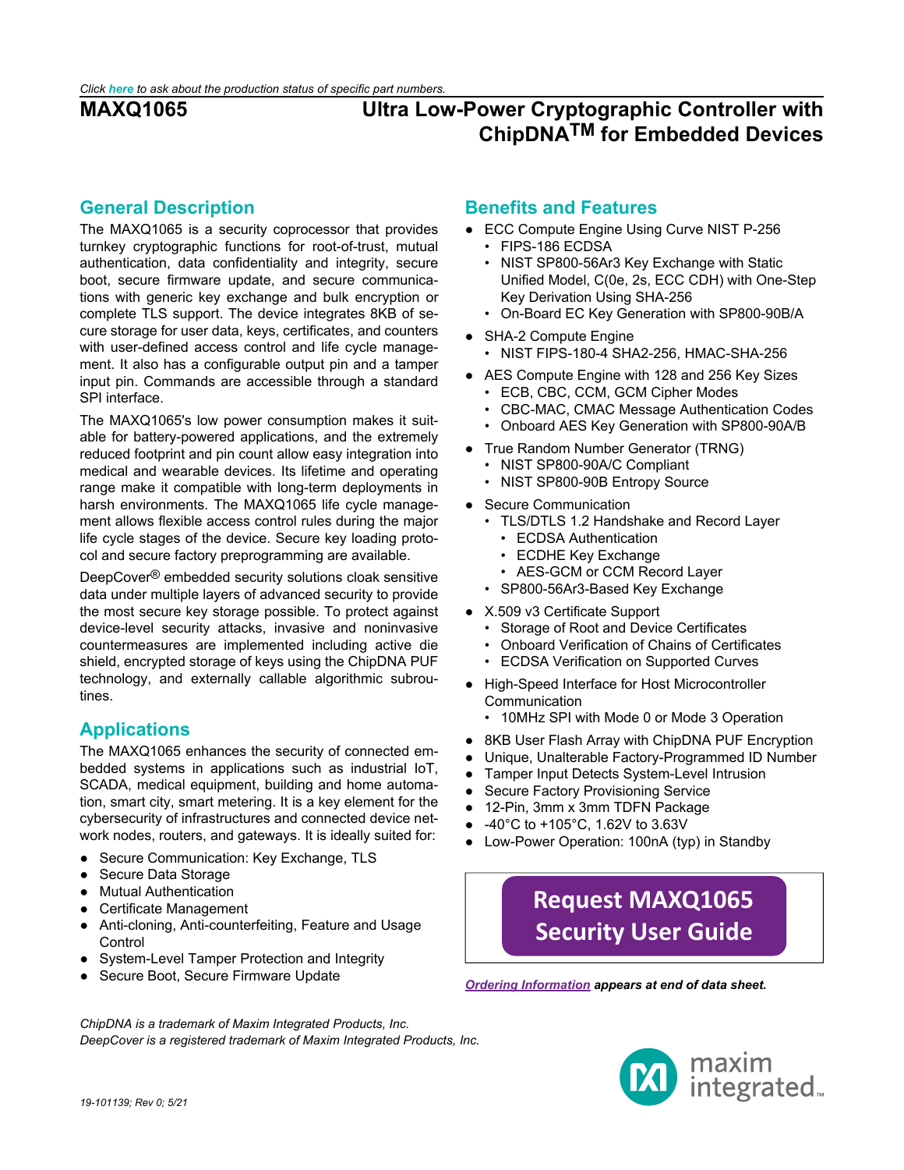## **General Description**

The MAXQ1065 is a security coprocessor that provides turnkey cryptographic functions for root-of-trust, mutual authentication, data confidentiality and integrity, secure boot, secure firmware update, and secure communications with generic key exchange and bulk encryption or complete TLS support. The device integrates 8KB of secure storage for user data, keys, certificates, and counters with user-defined access control and life cycle management. It also has a configurable output pin and a tamper input pin. Commands are accessible through a standard SPI interface.

The MAXQ1065's low power consumption makes it suitable for battery-powered applications, and the extremely reduced footprint and pin count allow easy integration into medical and wearable devices. Its lifetime and operating range make it compatible with long-term deployments in harsh environments. The MAXQ1065 life cycle management allows flexible access control rules during the major life cycle stages of the device. Secure key loading protocol and secure factory preprogramming are available.

DeepCover® embedded security solutions cloak sensitive data under multiple layers of advanced security to provide the most secure key storage possible. To protect against device-level security attacks, invasive and noninvasive countermeasures are implemented including active die shield, encrypted storage of keys using the ChipDNA PUF technology, and externally callable algorithmic subroutines.

## **Applications**

The MAXQ1065 enhances the security of connected embedded systems in applications such as industrial IoT, SCADA, medical equipment, building and home automation, smart city, smart metering. It is a key element for the cybersecurity of infrastructures and connected device network nodes, routers, and gateways. It is ideally suited for:

- Secure Communication: Key Exchange, TLS
- Secure Data Storage
- Mutual Authentication
- **Certificate Management**
- Anti-cloning, Anti-counterfeiting, Feature and Usage Control

*ChipDNA is a trademark of Maxim Integrated Products, Inc.*

*DeepCover is a registered trademark of Maxim Integrated Products, Inc.*

- **System-Level Tamper Protection and Integrity**
- Secure Boot, Secure Firmware Update

## **Benefits and Features**

- ECC Compute Engine Using Curve NIST P-256
	- FIPS-186 ECDSA
	- NIST SP800-56Ar3 Key Exchange with Static Unified Model, C(0e, 2s, ECC CDH) with One-Step Key Derivation Using SHA-256
	- On-Board EC Key Generation with SP800-90B/A
- SHA-2 Compute Engine
	- NIST FIPS-180-4 SHA2-256, HMAC-SHA-256
- AES Compute Engine with 128 and 256 Key Sizes
	- ECB, CBC, CCM, GCM Cipher Modes
	- CBC-MAC, CMAC Message Authentication Codes
	- Onboard AES Key Generation with SP800-90A/B
- True Random Number Generator (TRNG)
	- NIST SP800-90A/C Compliant
	- NIST SP800-90B Entropy Source
- Secure Communication
	- TLS/DTLS 1.2 Handshake and Record Layer
		- ECDSA Authentication
		- ECDHE Key Exchange
		- AES-GCM or CCM Record Layer
	- SP800-56Ar3-Based Key Exchange
- X.509 v3 Certificate Support
	- Storage of Root and Device Certificates
	- Onboard Verification of Chains of Certificates
	- ECDSA Verification on Supported Curves
- High-Speed Interface for Host Microcontroller Communication
	- 10MHz SPI with Mode 0 or Mode 3 Operation
- 8KB User Flash Array with ChipDNA PUF Encryption
- Unique, Unalterable Factory-Programmed ID Number
- Tamper Input Detects System-Level Intrusion
- Secure Factory Provisioning Service
- 12-Pin, 3mm x 3mm TDFN Package
- $-40^{\circ}$ C to  $+105^{\circ}$ C, 1.62V to 3.63V
- Low-Power Operation: 100nA (typ) in Standby

# **[Request MAXQ1065](https://www.maximintegrated.com/an7416) [Security User Guide](https://www.maximintegrated.com/an7416)**

*[Ordering Information](#page-16-0) appears at end of data sheet.*

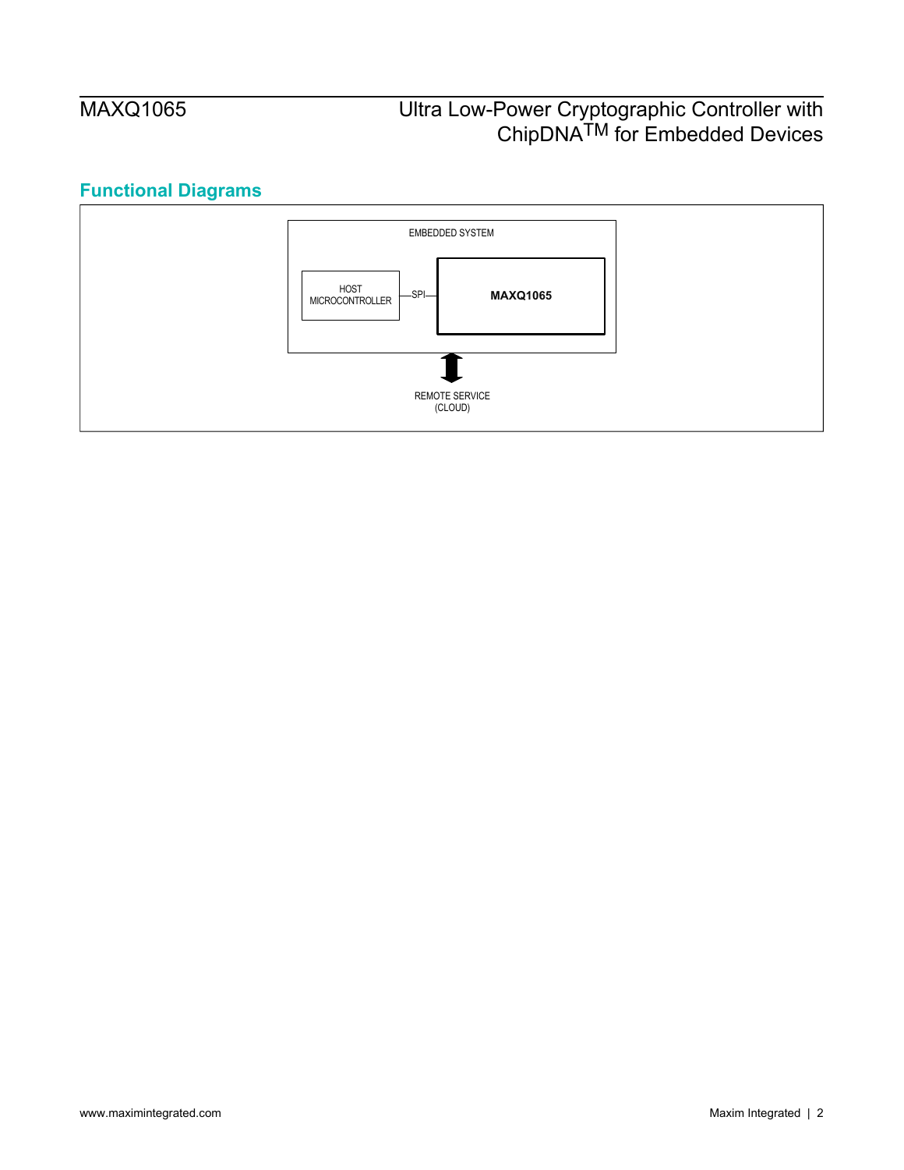# **Functional Diagrams**

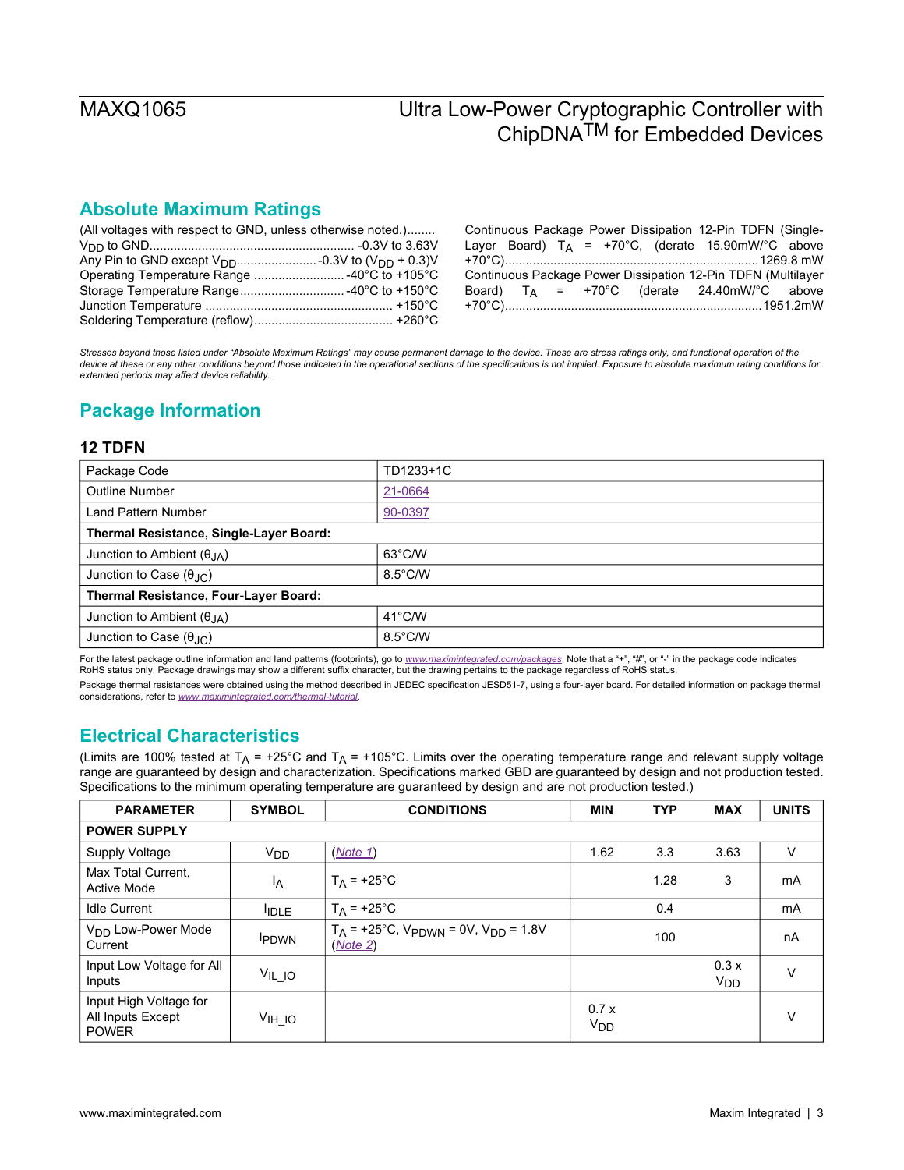## **Absolute Maximum Ratings**

| (All voltages with respect to GND, unless otherwise noted.) | Continuous Package Power Dissipation 12-Pin TDFN (Single-    |
|-------------------------------------------------------------|--------------------------------------------------------------|
|                                                             | Layer Board) $T_A = +70^{\circ}C$ , (derate 15.90mW/°C above |
|                                                             |                                                              |
|                                                             | Continuous Package Power Dissipation 12-Pin TDFN (Multilayer |
|                                                             | Board) $T_A = +70^{\circ}C$ (derate 24.40mW/°C above         |
|                                                             |                                                              |
|                                                             |                                                              |

*Stresses beyond those listed under "Absolute Maximum Ratings" may cause permanent damage to the device. These are stress ratings only, and functional operation of the device at these or any other conditions beyond those indicated in the operational sections of the specifications is not implied. Exposure to absolute maximum rating conditions for extended periods may affect device reliability.*

## **Package Information**

### **12 TDFN**

| Package Code                            | TD1233+1C         |  |  |  |
|-----------------------------------------|-------------------|--|--|--|
| <b>Outline Number</b>                   | 21-0664           |  |  |  |
| Land Pattern Number                     | 90-0397           |  |  |  |
| Thermal Resistance, Single-Layer Board: |                   |  |  |  |
| Junction to Ambient $(\theta_{JA})$     | $63^{\circ}$ C/W  |  |  |  |
| Junction to Case $(\theta_{\text{JC}})$ | $8.5^{\circ}$ C/W |  |  |  |
| Thermal Resistance, Four-Layer Board:   |                   |  |  |  |
| Junction to Ambient $(\theta_{JA})$     | $41^{\circ}$ C/W  |  |  |  |
| Junction to Case $(\theta_{\text{JC}})$ | $8.5^{\circ}$ C/W |  |  |  |

For the latest package outline information and land patterns (footprints), go to *[www.maximintegrated.com/packages](http://www.maximintegrated.com/packages)*. Note that a "+", "#", or "-" in the package code indicates RoHS status only. Package drawings may show a different suffix character, but the drawing pertains to the package regardless of RoHS status.

Package thermal resistances were obtained using the method described in JEDEC specification JESD51-7, using a four-layer board. For detailed information on package thermal considerations, refer to *[www.maximintegrated.com/thermal-tutorial](http://www.maximintegrated.com/thermal-tutorial)*.

## **Electrical Characteristics**

(Limits are 100% tested at  $T_A$  = +25°C and  $T_A$  = +105°C. Limits over the operating temperature range and relevant supply voltage range are guaranteed by design and characterization. Specifications marked GBD are guaranteed by design and not production tested. Specifications to the minimum operating temperature are guaranteed by design and are not production tested.)

| <b>PARAMETER</b>                                            | <b>SYMBOL</b>         | <b>CONDITIONS</b>                                                         | <b>MIN</b>                    | <b>TYP</b> | <b>MAX</b>                    | <b>UNITS</b> |  |  |
|-------------------------------------------------------------|-----------------------|---------------------------------------------------------------------------|-------------------------------|------------|-------------------------------|--------------|--|--|
| <b>POWER SUPPLY</b>                                         |                       |                                                                           |                               |            |                               |              |  |  |
| Supply Voltage                                              | <b>V<sub>DD</sub></b> | (Note 1)                                                                  | 1.62                          | 3.3        | 3.63                          | v            |  |  |
| Max Total Current.<br>Active Mode                           | Iд.                   | $T_A$ = +25°C                                                             |                               | 1.28       | 3                             | mA           |  |  |
| <b>Idle Current</b>                                         | <b>IDLE</b>           | $T_A = +25^{\circ}C$                                                      |                               | 0.4        |                               | mA           |  |  |
| V <sub>DD</sub> Low-Power Mode<br>Current                   | <b>IPDWN</b>          | $T_A$ = +25°C, $V_{\text{PDWN}}$ = 0V, $V_{\text{DD}}$ = 1.8V<br>(Note 2) |                               | 100        |                               | nA           |  |  |
| Input Low Voltage for All<br>Inputs                         | $V_{IL}$ 10           |                                                                           |                               |            | 0.3x<br><b>V<sub>DD</sub></b> | v            |  |  |
| Input High Voltage for<br>All Inputs Except<br><b>POWER</b> | VIH IO                |                                                                           | 0.7x<br><b>V<sub>DD</sub></b> |            |                               | v            |  |  |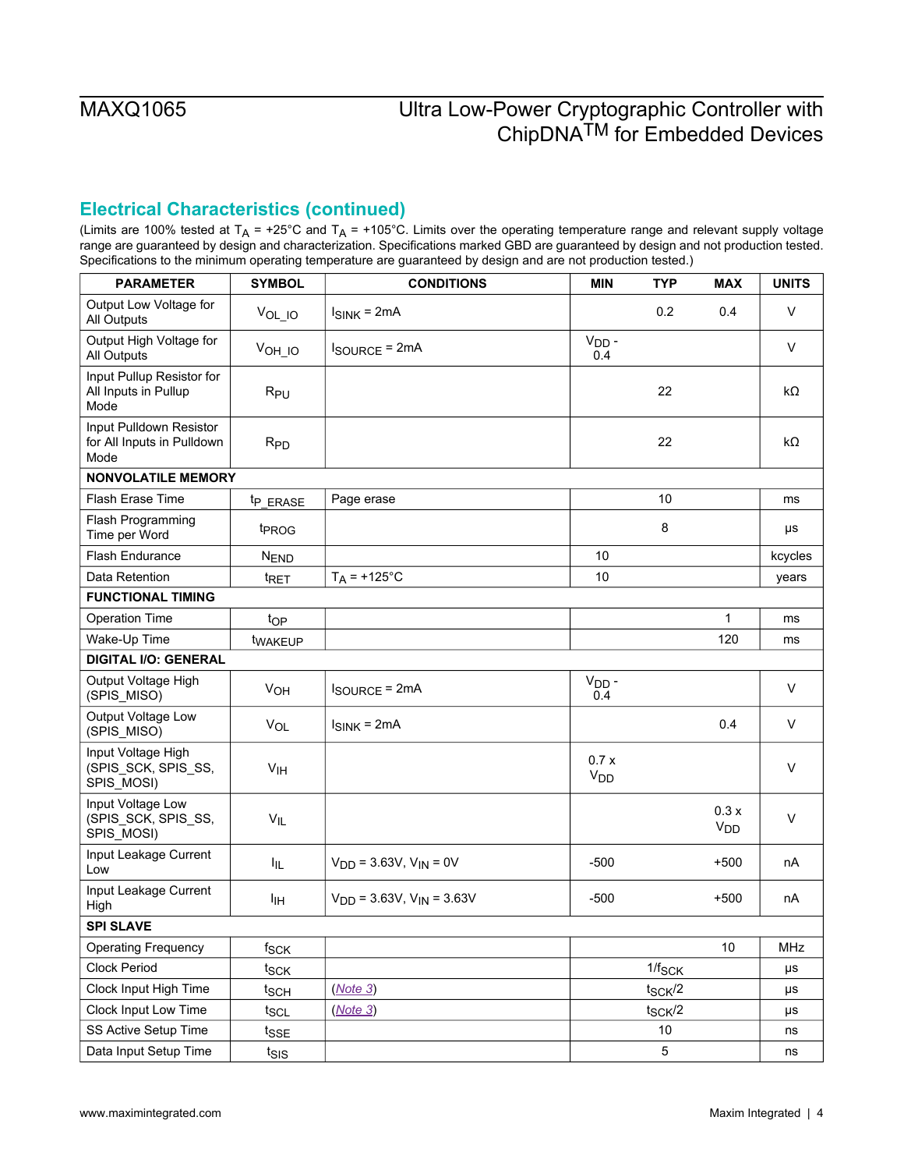## **Electrical Characteristics (continued)**

(Limits are 100% tested at T<sub>A</sub> = +25°C and T<sub>A</sub> = +105°C. Limits over the operating temperature range and relevant supply voltage range are guaranteed by design and characterization. Specifications marked GBD are guaranteed by design and not production tested. Specifications to the minimum operating temperature are guaranteed by design and are not production tested.)

| <b>PARAMETER</b>                                              | <b>SYMBOL</b>        | <b>CONDITIONS</b>                  | <b>MIN</b>                    | <b>TYP</b>     | <b>MAX</b>                    | <b>UNITS</b> |
|---------------------------------------------------------------|----------------------|------------------------------------|-------------------------------|----------------|-------------------------------|--------------|
| Output Low Voltage for<br>All Outputs                         | $V_{OL}$ IO          | $I_{SINK} = 2mA$                   |                               | 0.2            | 0.4                           | $\vee$       |
| Output High Voltage for<br>All Outputs                        | $VOH$ IO             | $I_{\text{SOURCE}} = 2mA$          | $VDD$ -<br>0.4                |                |                               | V            |
| Input Pullup Resistor for<br>All Inputs in Pullup<br>Mode     | R <sub>PU</sub>      |                                    |                               | 22             |                               | kΩ           |
| Input Pulldown Resistor<br>for All Inputs in Pulldown<br>Mode | R <sub>PD</sub>      |                                    |                               | 22             |                               | kΩ           |
| <b>NONVOLATILE MEMORY</b>                                     |                      |                                    |                               |                |                               |              |
| Flash Erase Time                                              | t <sub>P</sub> ERASE | Page erase                         |                               | 10             |                               | ms           |
| Flash Programming<br>Time per Word                            | t <sub>PROG</sub>    |                                    |                               | 8              |                               | μs           |
| Flash Endurance                                               | <b>NEND</b>          |                                    | 10                            |                |                               | kcycles      |
| Data Retention                                                | t <sub>RET</sub>     | $T_A = +125^{\circ}C$              | 10                            |                |                               | years        |
| <b>FUNCTIONAL TIMING</b>                                      |                      |                                    |                               |                |                               |              |
| <b>Operation Time</b>                                         | t <sub>OP</sub>      |                                    |                               |                | 1                             | ms           |
| Wake-Up Time                                                  | twakEUP              |                                    |                               |                | 120                           | ms           |
| <b>DIGITAL I/O: GENERAL</b>                                   |                      |                                    |                               |                |                               |              |
| Output Voltage High<br>(SPIS_MISO)                            | V <sub>OH</sub>      | $I_{\text{SOURCE}} = 2mA$          | $VDD$ -<br>0.4                |                |                               | V            |
| Output Voltage Low<br>(SPIS_MISO)                             | VOL                  | $I_{SINK} = 2mA$                   |                               |                | 0.4                           | $\vee$       |
| Input Voltage High<br>(SPIS_SCK, SPIS_SS,<br>SPIS_MOSI)       | V <sub>IH</sub>      |                                    | 0.7x<br><b>V<sub>DD</sub></b> |                |                               | V            |
| Input Voltage Low<br>(SPIS_SCK, SPIS_SS,<br>SPIS_MOSI)        | $V_{IL}$             |                                    |                               |                | 0.3x<br><b>V<sub>DD</sub></b> | V            |
| Input Leakage Current<br>Low                                  | ΙIΓ.                 | $V_{DD} = 3.63V$ , $V_{IN} = 0V$   | $-500$                        |                | $+500$                        | nA           |
| Input Leakage Current<br>High                                 | ŀщ                   | $V_{DD}$ = 3.63V, $V_{IN}$ = 3.63V | $-500$                        |                | $+500$                        | nA           |
| <b>SPI SLAVE</b>                                              |                      |                                    |                               |                |                               |              |
| <b>Operating Frequency</b>                                    | $f_{\rm SCK}$        |                                    |                               |                | 10                            | MHz          |
| Clock Period                                                  | tsck                 |                                    |                               | $1/f_{SCK}$    |                               | μs           |
| Clock Input High Time                                         | tsch                 | (Note 3)                           |                               | $t_{SCK}/2$    |                               | μs           |
| Clock Input Low Time                                          | t <sub>SCL</sub>     | (Note 3)                           |                               | $t_{SCK}/2$    |                               | μs           |
| SS Active Setup Time                                          | $t_{\sf SSE}$        |                                    |                               | 10             |                               | ns           |
| Data Input Setup Time                                         | $t_{\text{SIS}}$     |                                    |                               | $\overline{5}$ |                               | ns           |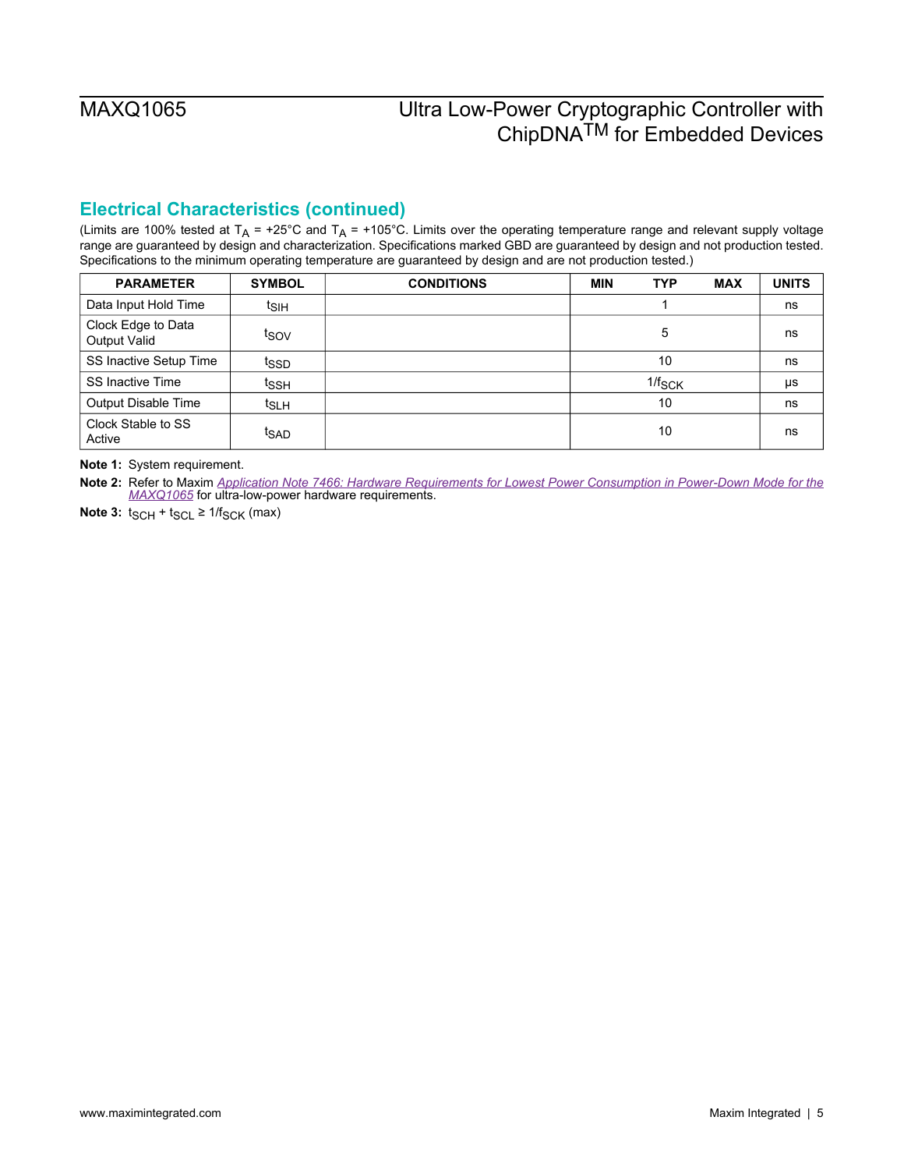## **Electrical Characteristics (continued)**

(Limits are 100% tested at  $T_A$  = +25°C and  $T_A$  = +105°C. Limits over the operating temperature range and relevant supply voltage range are guaranteed by design and characterization. Specifications marked GBD are guaranteed by design and not production tested. Specifications to the minimum operating temperature are guaranteed by design and are not production tested.)

| <b>PARAMETER</b>                          | <b>SYMBOL</b>    | <b>CONDITIONS</b> | <b>MIN</b> | <b>TYP</b>         | <b>MAX</b> | <b>UNITS</b> |
|-------------------------------------------|------------------|-------------------|------------|--------------------|------------|--------------|
| Data Input Hold Time                      | t <sub>SIH</sub> |                   |            |                    |            | ns           |
| Clock Edge to Data<br><b>Output Valid</b> | tsov             |                   |            | 5                  |            | ns           |
| SS Inactive Setup Time                    | tssp             |                   |            | 10                 |            | ns           |
| <b>SS Inactive Time</b>                   | tssн             |                   |            | $1/f_{\text{SCK}}$ |            | μs           |
| Output Disable Time                       | t <sub>SLH</sub> |                   |            | 10                 |            | ns           |
| Clock Stable to SS<br>Active              | tsap             |                   |            | 10                 |            | ns           |

<span id="page-4-0"></span>**Note 1:** System requirement.

<span id="page-4-1"></span>**Note 2:** Refer to Maxim *[Application Note 7466: Hardware Requirements for Lowest Power Consumption in Power-Down Mode for the](http://maximintegrated.com/AN7466) [MAXQ1065](http://maximintegrated.com/AN7466)* for ultra-low-power hardware requirements.

<span id="page-4-2"></span>**Note 3:**  $t_{SCH} + t_{SCL} \ge 1/f_{SCK}$  (max)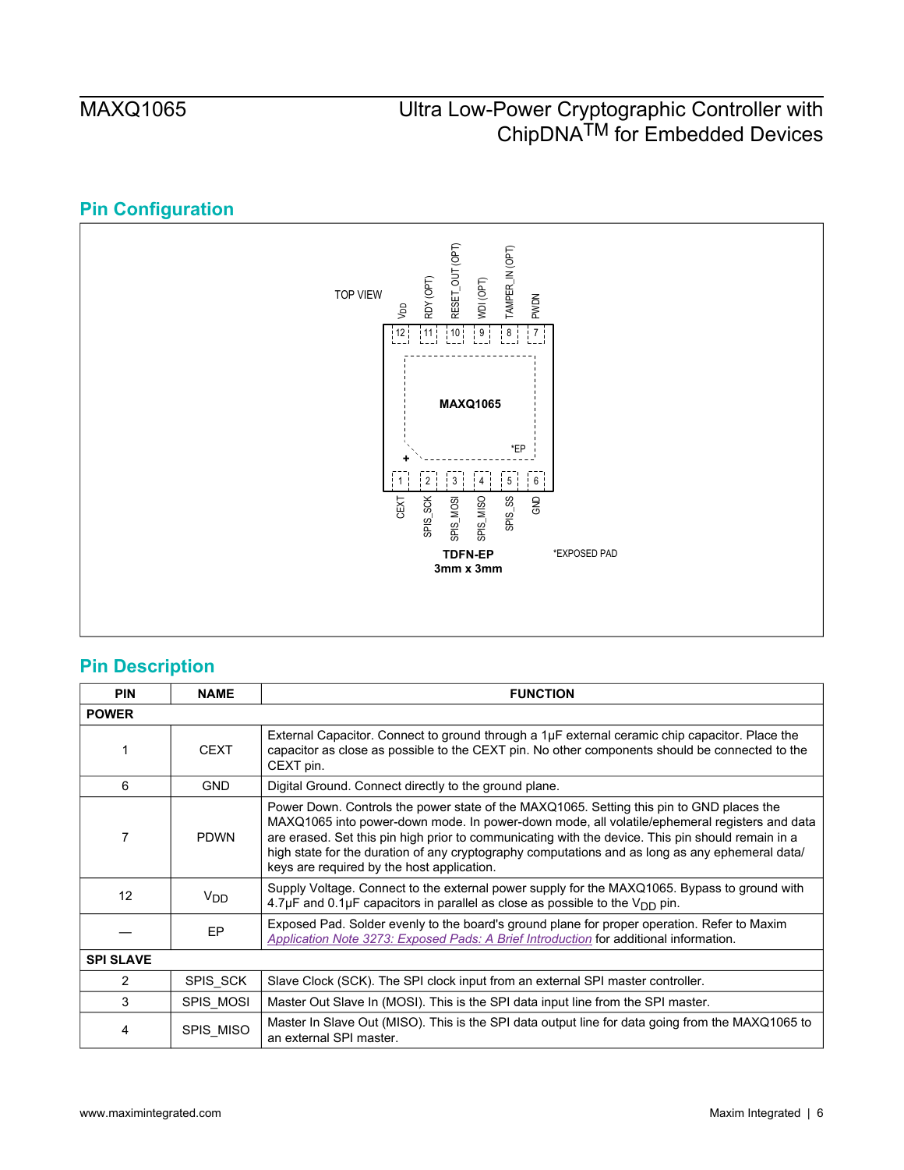# **Pin Configuration**



## **Pin Description**

| <b>PIN</b>       | <b>NAME</b>     | <b>FUNCTION</b>                                                                                                                                                                                                                                                                                                                                                                                                                                |
|------------------|-----------------|------------------------------------------------------------------------------------------------------------------------------------------------------------------------------------------------------------------------------------------------------------------------------------------------------------------------------------------------------------------------------------------------------------------------------------------------|
| <b>POWER</b>     |                 |                                                                                                                                                                                                                                                                                                                                                                                                                                                |
|                  | <b>CEXT</b>     | External Capacitor. Connect to ground through a 1µF external ceramic chip capacitor. Place the<br>capacitor as close as possible to the CEXT pin. No other components should be connected to the<br>CEXT pin.                                                                                                                                                                                                                                  |
| 6                | <b>GND</b>      | Digital Ground. Connect directly to the ground plane.                                                                                                                                                                                                                                                                                                                                                                                          |
| 7                | <b>PDWN</b>     | Power Down. Controls the power state of the MAXQ1065. Setting this pin to GND places the<br>MAXQ1065 into power-down mode. In power-down mode, all volatile/ephemeral registers and data<br>are erased. Set this pin high prior to communicating with the device. This pin should remain in a<br>high state for the duration of any cryptography computations and as long as any ephemeral data/<br>keys are required by the host application. |
| 12               | V <sub>DD</sub> | Supply Voltage. Connect to the external power supply for the MAXQ1065. Bypass to ground with<br>4.7µF and 0.1µF capacitors in parallel as close as possible to the $V_{DD}$ pin.                                                                                                                                                                                                                                                               |
|                  | EP              | Exposed Pad. Solder evenly to the board's ground plane for proper operation. Refer to Maxim<br>Application Note 3273: Exposed Pads: A Brief Introduction for additional information.                                                                                                                                                                                                                                                           |
| <b>SPI SLAVE</b> |                 |                                                                                                                                                                                                                                                                                                                                                                                                                                                |
| $\overline{2}$   | SPIS_SCK        | Slave Clock (SCK). The SPI clock input from an external SPI master controller.                                                                                                                                                                                                                                                                                                                                                                 |
| 3                | SPIS_MOSI       | Master Out Slave In (MOSI). This is the SPI data input line from the SPI master.                                                                                                                                                                                                                                                                                                                                                               |
| 4                | SPIS MISO       | Master In Slave Out (MISO). This is the SPI data output line for data going from the MAXQ1065 to<br>an external SPI master.                                                                                                                                                                                                                                                                                                                    |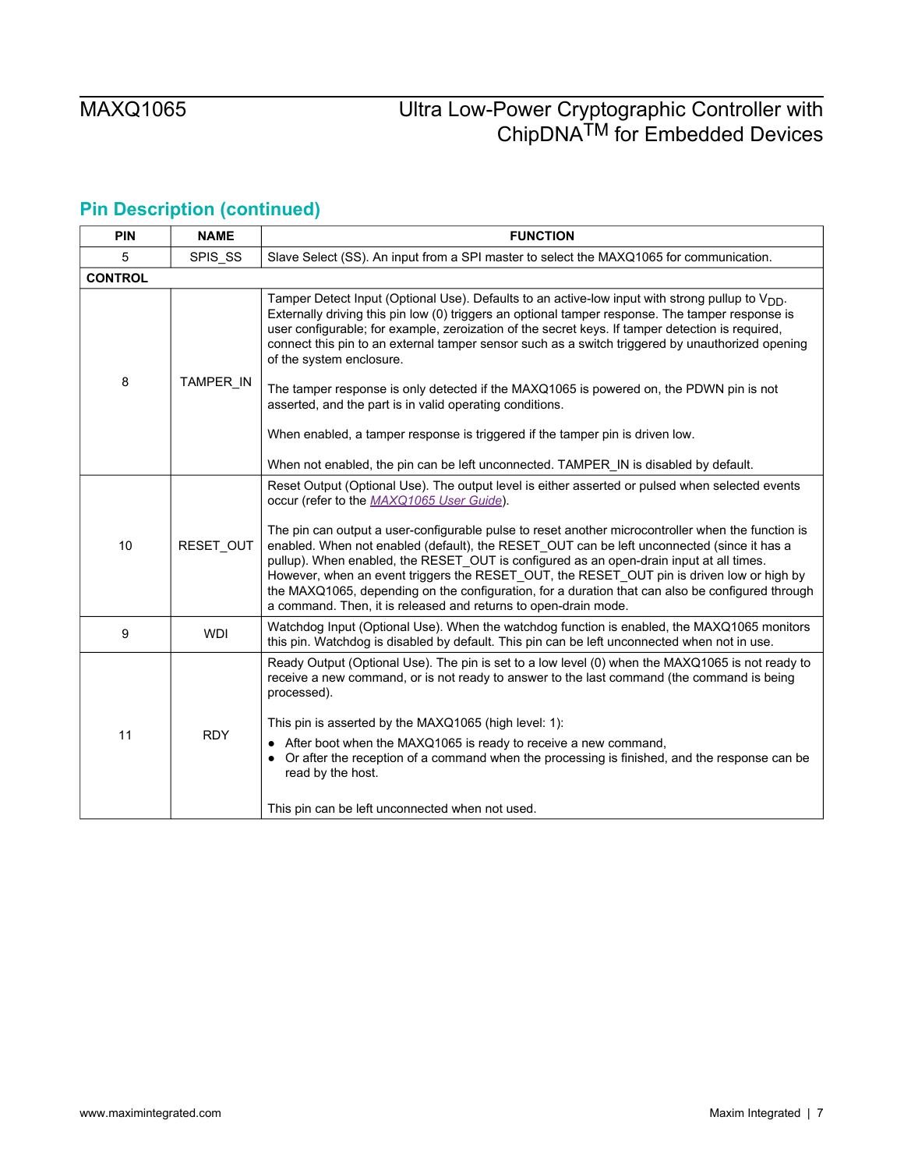# **Pin Description (continued)**

| <b>PIN</b>     | <b>NAME</b> | <b>FUNCTION</b>                                                                                                                                                                                                                                                                                                                                                                                                                                                                                                                          |  |  |  |  |  |
|----------------|-------------|------------------------------------------------------------------------------------------------------------------------------------------------------------------------------------------------------------------------------------------------------------------------------------------------------------------------------------------------------------------------------------------------------------------------------------------------------------------------------------------------------------------------------------------|--|--|--|--|--|
| 5              | SPIS_SS     | Slave Select (SS). An input from a SPI master to select the MAXQ1065 for communication.                                                                                                                                                                                                                                                                                                                                                                                                                                                  |  |  |  |  |  |
| <b>CONTROL</b> |             |                                                                                                                                                                                                                                                                                                                                                                                                                                                                                                                                          |  |  |  |  |  |
|                | TAMPER_IN   | Tamper Detect Input (Optional Use). Defaults to an active-low input with strong pullup to $V_{DD}$ .<br>Externally driving this pin low (0) triggers an optional tamper response. The tamper response is<br>user configurable; for example, zeroization of the secret keys. If tamper detection is required,<br>connect this pin to an external tamper sensor such as a switch triggered by unauthorized opening<br>of the system enclosure.                                                                                             |  |  |  |  |  |
| 8              |             | The tamper response is only detected if the MAXQ1065 is powered on, the PDWN pin is not<br>asserted, and the part is in valid operating conditions.                                                                                                                                                                                                                                                                                                                                                                                      |  |  |  |  |  |
|                |             | When enabled, a tamper response is triggered if the tamper pin is driven low.                                                                                                                                                                                                                                                                                                                                                                                                                                                            |  |  |  |  |  |
|                |             | When not enabled, the pin can be left unconnected. TAMPER IN is disabled by default.                                                                                                                                                                                                                                                                                                                                                                                                                                                     |  |  |  |  |  |
| 10             | RESET_OUT   | Reset Output (Optional Use). The output level is either asserted or pulsed when selected events<br>occur (refer to the MAXQ1065 User Guide).<br>The pin can output a user-configurable pulse to reset another microcontroller when the function is<br>enabled. When not enabled (default), the RESET_OUT can be left unconnected (since it has a<br>pullup). When enabled, the RESET OUT is configured as an open-drain input at all times.<br>However, when an event triggers the RESET_OUT, the RESET_OUT pin is driven low or high by |  |  |  |  |  |
|                |             | the MAXQ1065, depending on the configuration, for a duration that can also be configured through<br>a command. Then, it is released and returns to open-drain mode.                                                                                                                                                                                                                                                                                                                                                                      |  |  |  |  |  |
| 9              | <b>WDI</b>  | Watchdog Input (Optional Use). When the watchdog function is enabled, the MAXQ1065 monitors<br>this pin. Watchdog is disabled by default. This pin can be left unconnected when not in use.                                                                                                                                                                                                                                                                                                                                              |  |  |  |  |  |
| 11             |             | Ready Output (Optional Use). The pin is set to a low level (0) when the MAXQ1065 is not ready to<br>receive a new command, or is not ready to answer to the last command (the command is being<br>processed).                                                                                                                                                                                                                                                                                                                            |  |  |  |  |  |
|                |             | This pin is asserted by the MAXQ1065 (high level: 1):                                                                                                                                                                                                                                                                                                                                                                                                                                                                                    |  |  |  |  |  |
|                | <b>RDY</b>  | • After boot when the MAXQ1065 is ready to receive a new command,<br>Or after the reception of a command when the processing is finished, and the response can be<br>read by the host.                                                                                                                                                                                                                                                                                                                                                   |  |  |  |  |  |
|                |             | This pin can be left unconnected when not used.                                                                                                                                                                                                                                                                                                                                                                                                                                                                                          |  |  |  |  |  |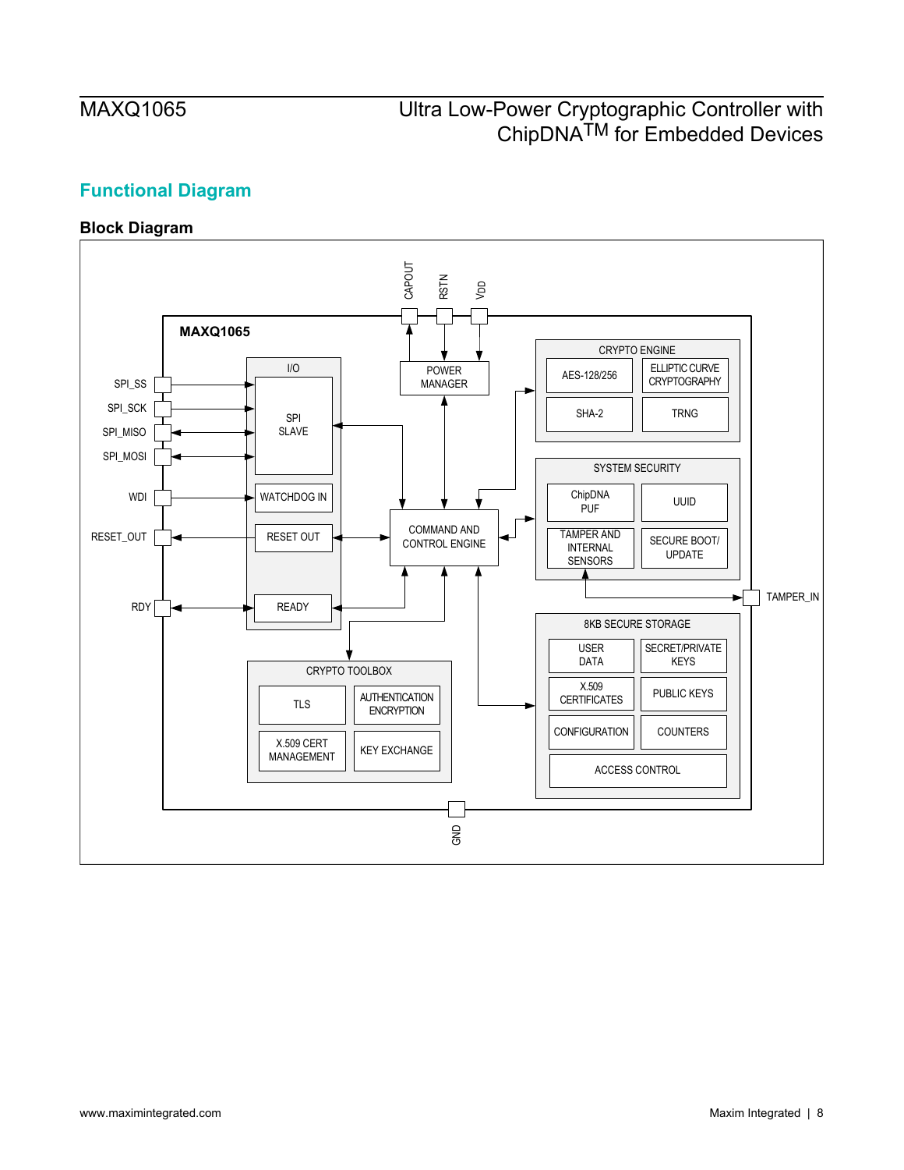## **Functional Diagram**

## **Block Diagram**

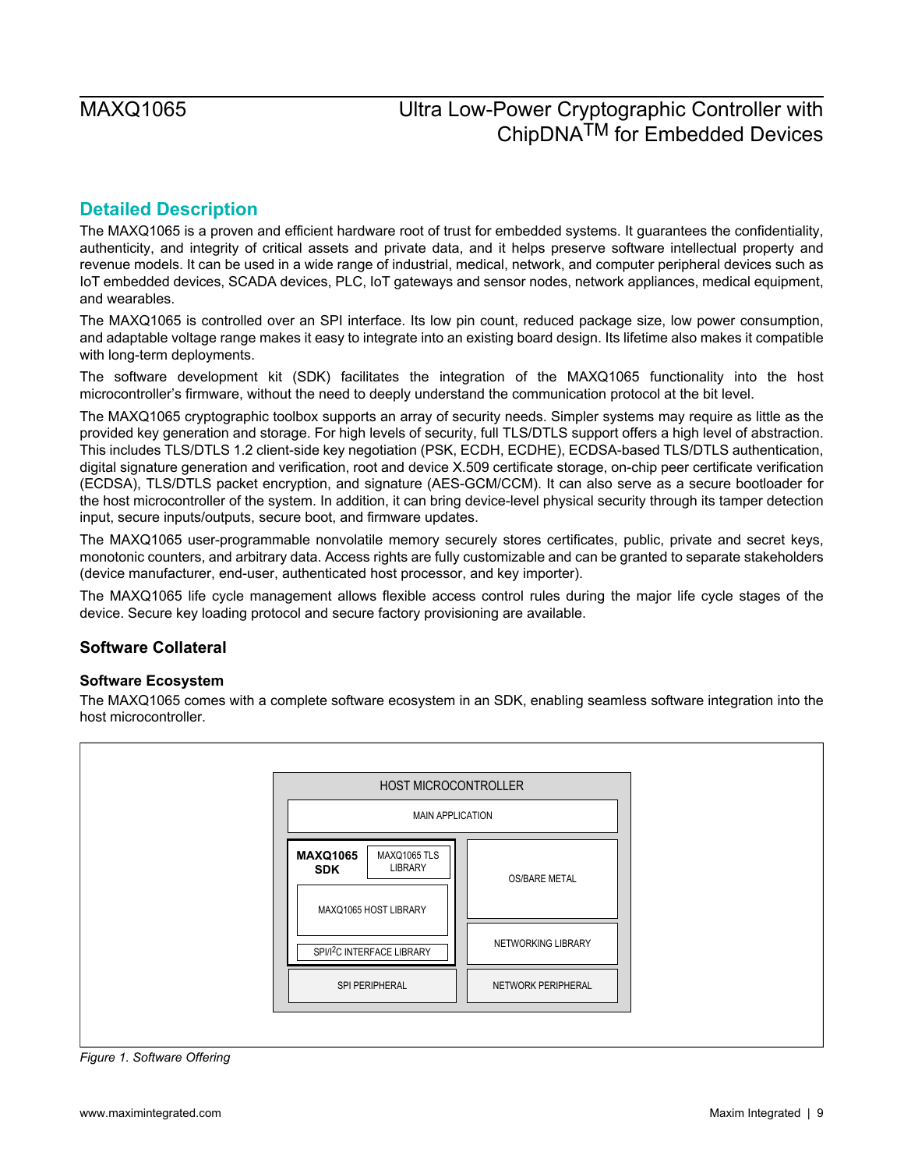## **Detailed Description**

The MAXQ1065 is a proven and efficient hardware root of trust for embedded systems. It guarantees the confidentiality, authenticity, and integrity of critical assets and private data, and it helps preserve software intellectual property and revenue models. It can be used in a wide range of industrial, medical, network, and computer peripheral devices such as IoT embedded devices, SCADA devices, PLC, IoT gateways and sensor nodes, network appliances, medical equipment, and wearables.

The MAXQ1065 is controlled over an SPI interface. Its low pin count, reduced package size, low power consumption, and adaptable voltage range makes it easy to integrate into an existing board design. Its lifetime also makes it compatible with long-term deployments.

The software development kit (SDK) facilitates the integration of the MAXQ1065 functionality into the host microcontroller's firmware, without the need to deeply understand the communication protocol at the bit level.

The MAXQ1065 cryptographic toolbox supports an array of security needs. Simpler systems may require as little as the provided key generation and storage. For high levels of security, full TLS/DTLS support offers a high level of abstraction. This includes TLS/DTLS 1.2 client-side key negotiation (PSK, ECDH, ECDHE), ECDSA-based TLS/DTLS authentication, digital signature generation and verification, root and device X.509 certificate storage, on-chip peer certificate verification (ECDSA), TLS/DTLS packet encryption, and signature (AES-GCM/CCM). It can also serve as a secure bootloader for the host microcontroller of the system. In addition, it can bring device-level physical security through its tamper detection input, secure inputs/outputs, secure boot, and firmware updates.

The MAXQ1065 user-programmable nonvolatile memory securely stores certificates, public, private and secret keys, monotonic counters, and arbitrary data. Access rights are fully customizable and can be granted to separate stakeholders (device manufacturer, end-user, authenticated host processor, and key importer).

The MAXQ1065 life cycle management allows flexible access control rules during the major life cycle stages of the device. Secure key loading protocol and secure factory provisioning are available.

### **Software Collateral**

### **Software Ecosystem**

The MAXQ1065 comes with a complete software ecosystem in an SDK, enabling seamless software integration into the host microcontroller.



*Figure 1. Software Offering*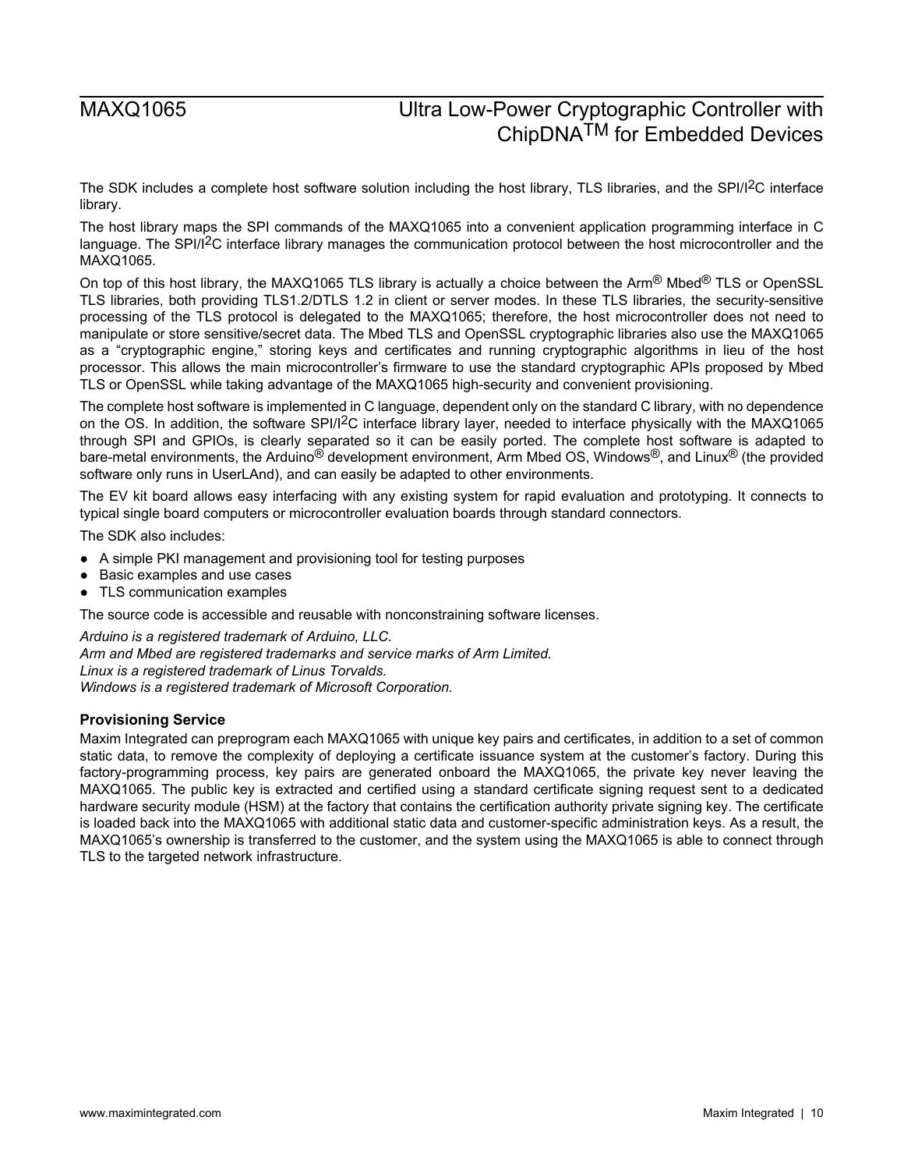The SDK includes a complete host software solution including the host library, TLS libraries, and the SPI/I<sup>2</sup>C interface library.

The host library maps the SPI commands of the MAXQ1065 into a convenient application programming interface in C language. The SPI/I<sup>2</sup>C interface library manages the communication protocol between the host microcontroller and the MAXQ1065.

On top of this host library, the MAXQ1065 TLS library is actually a choice between the Arm<sup>®</sup> Mbed<sup>®</sup> TLS or OpenSSL TLS libraries, both providing TLS1.2/DTLS 1.2 in client or server modes. In these TLS libraries, the security-sensitive processing of the TLS protocol is delegated to the MAXQ1065; therefore, the host microcontroller does not need to manipulate or store sensitive/secret data. The Mbed TLS and OpenSSL cryptographic libraries also use the MAXQ1065 as a "cryptographic engine," storing keys and certificates and running cryptographic algorithms in lieu of the host processor. This allows the main microcontroller's firmware to use the standard cryptographic APIs proposed by Mbed TLS or OpenSSL while taking advantage of the MAXQ1065 high-security and convenient provisioning.

The complete host software is implemented in C language, dependent only on the standard C library, with no dependence on the OS. In addition, the software SPI/I<sup>2</sup>C interface library layer, needed to interface physically with the MAXQ1065 through SPI and GPIOs, is clearly separated so it can be easily ported. The complete host software is adapted to bare-metal environments, the Arduino® development environment, Arm Mbed OS, Windows®, and Linux® (the provided software only runs in UserLAnd), and can easily be adapted to other environments.

The EV kit board allows easy interfacing with any existing system for rapid evaluation and prototyping. It connects to typical single board computers or microcontroller evaluation boards through standard connectors.

The SDK also includes:

- A simple PKI management and provisioning tool for testing purposes
- Basic examples and use cases
- TLS communication examples

The source code is accessible and reusable with nonconstraining software licenses.

*Arduino is a registered trademark of Arduino, LLC. Arm and Mbed are registered trademarks and service marks of Arm Limited. Linux is a registered trademark of Linus Torvalds. Windows is a registered trademark of Microsoft Corporation.*

### **Provisioning Service**

Maxim Integrated can preprogram each MAXQ1065 with unique key pairs and certificates, in addition to a set of common static data, to remove the complexity of deploying a certificate issuance system at the customer's factory. During this factory-programming process, key pairs are generated onboard the MAXQ1065, the private key never leaving the MAXQ1065. The public key is extracted and certified using a standard certificate signing request sent to a dedicated hardware security module (HSM) at the factory that contains the certification authority private signing key. The certificate is loaded back into the MAXQ1065 with additional static data and customer-specific administration keys. As a result, the MAXQ1065's ownership is transferred to the customer, and the system using the MAXQ1065 is able to connect through TLS to the targeted network infrastructure.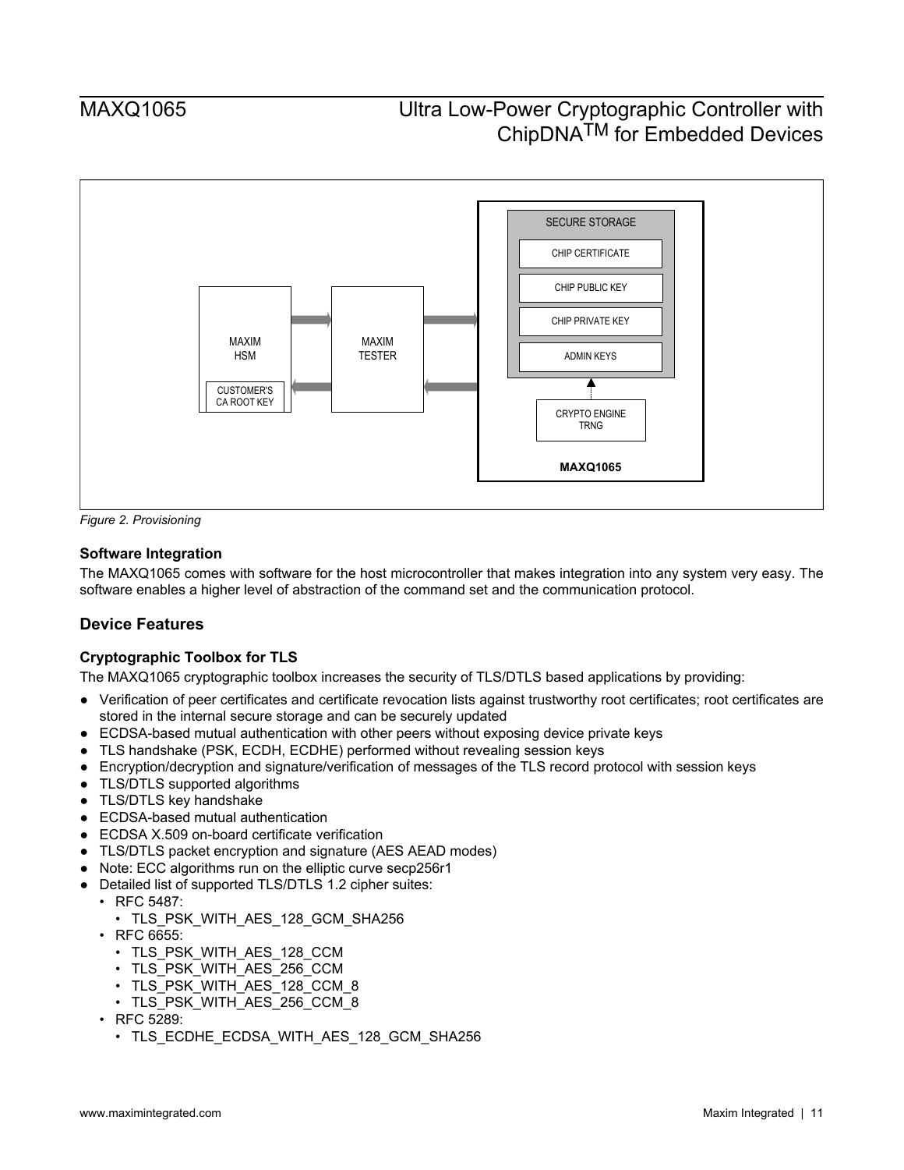

*Figure 2. Provisioning*

### **Software Integration**

The MAXQ1065 comes with software for the host microcontroller that makes integration into any system very easy. The software enables a higher level of abstraction of the command set and the communication protocol.

## **Device Features**

### **Cryptographic Toolbox for TLS**

The MAXQ1065 cryptographic toolbox increases the security of TLS/DTLS based applications by providing:

- Verification of peer certificates and certificate revocation lists against trustworthy root certificates; root certificates are stored in the internal secure storage and can be securely updated
- ECDSA-based mutual authentication with other peers without exposing device private keys
- TLS handshake (PSK, ECDH, ECDHE) performed without revealing session keys
- Encryption/decryption and signature/verification of messages of the TLS record protocol with session keys
- TLS/DTLS supported algorithms
- TLS/DTLS key handshake
- ECDSA-based mutual authentication
- ECDSA X.509 on-board certificate verification
- TLS/DTLS packet encryption and signature (AES AEAD modes)
- Note: ECC algorithms run on the elliptic curve secp256r1
- Detailed list of supported TLS/DTLS 1.2 cipher suites:
- RFC 5487:
	- TLS\_PSK\_WITH\_AES\_128\_GCM\_SHA256
- RFC 6655:
	- TLS\_PSK\_WITH\_AES\_128\_CCM
	- TLS\_PSK\_WITH\_AES\_256\_CCM
	- TLS PSK WITH AES 128 CCM 8
	- TLS\_PSK\_WITH\_AES\_256\_CCM\_8
- RFC 5289:
	- TLS\_ECDHE\_ECDSA\_WITH\_AES\_128\_GCM\_SHA256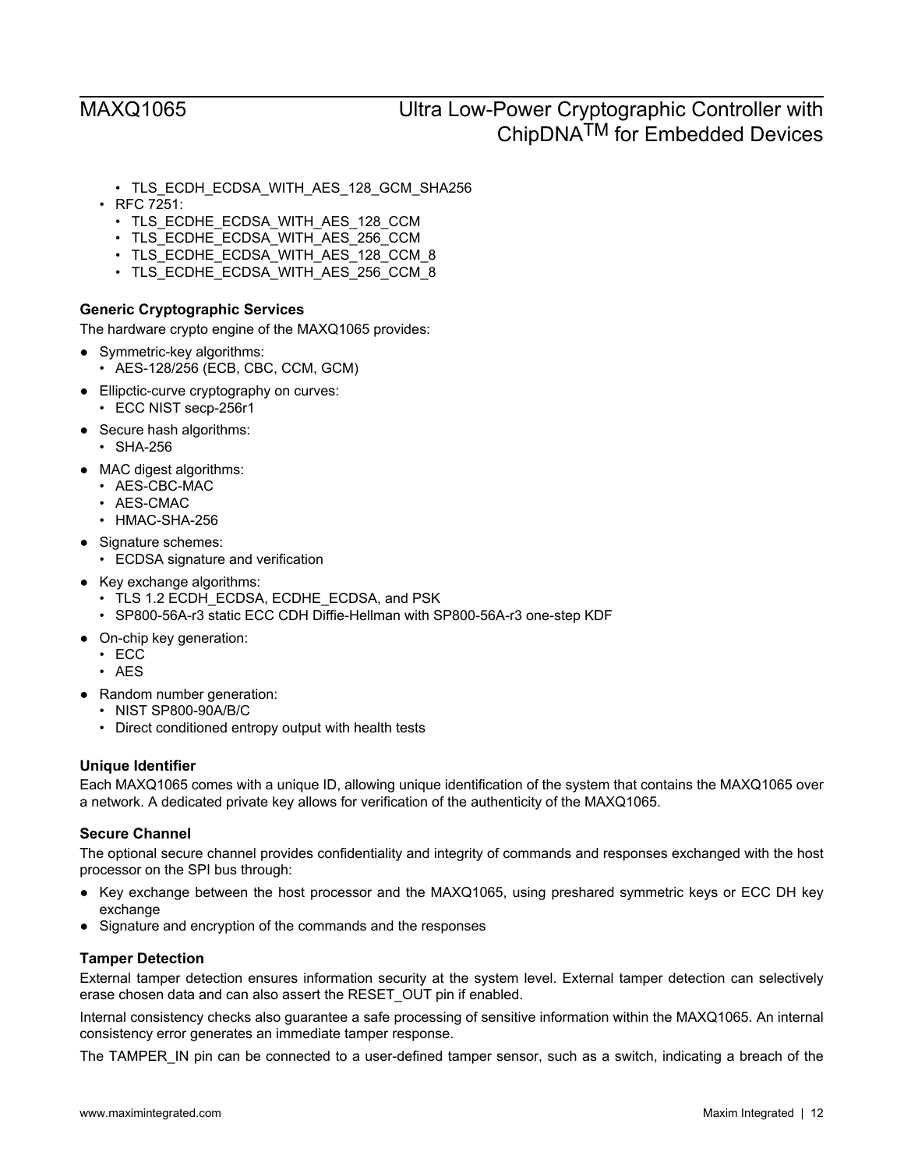- TLS\_ECDH\_ECDSA\_WITH\_AES\_128\_GCM\_SHA256
- RFC 7251:
	- TLS ECDHE\_ECDSA\_WITH\_AES\_128\_CCM
	- TLS ECDHE ECDSA WITH AES 256 CCM
	- TLS ECDHE\_ECDSA\_WITH\_AES\_128\_CCM\_8
	- TLS ECDHE\_ECDSA\_WITH\_AES\_256\_CCM\_8

### **Generic Cryptographic Services**

The hardware crypto engine of the MAXQ1065 provides:

- Symmetric-key algorithms:
	- AES-128/256 (ECB, CBC, CCM, GCM)
- Ellipctic-curve cryptography on curves:
- ECC NIST secp-256r1
- Secure hash algorithms:
	- SHA-256
- MAC digest algorithms:
	- AES-CBC-MAC
	- AES-CMAC
	- HMAC-SHA-256
- Signature schemes:
	- ECDSA signature and verification
- Key exchange algorithms:
	- TLS 1.2 ECDH\_ECDSA, ECDHE\_ECDSA, and PSK
	- SP800-56A-r3 static ECC CDH Diffie-Hellman with SP800-56A-r3 one-step KDF
- On-chip key generation:
	- ECC
	- AES
- Random number generation:
	- NIST SP800-90A/B/C
	- Direct conditioned entropy output with health tests

### **Unique Identifier**

Each MAXQ1065 comes with a unique ID, allowing unique identification of the system that contains the MAXQ1065 over a network. A dedicated private key allows for verification of the authenticity of the MAXQ1065.

### **Secure Channel**

The optional secure channel provides confidentiality and integrity of commands and responses exchanged with the host processor on the SPI bus through:

- Key exchange between the host processor and the MAXQ1065, using preshared symmetric keys or ECC DH key exchange
- Signature and encryption of the commands and the responses

#### **Tamper Detection**

External tamper detection ensures information security at the system level. External tamper detection can selectively erase chosen data and can also assert the RESET\_OUT pin if enabled.

Internal consistency checks also guarantee a safe processing of sensitive information within the MAXQ1065. An internal consistency error generates an immediate tamper response.

The TAMPER\_IN pin can be connected to a user-defined tamper sensor, such as a switch, indicating a breach of the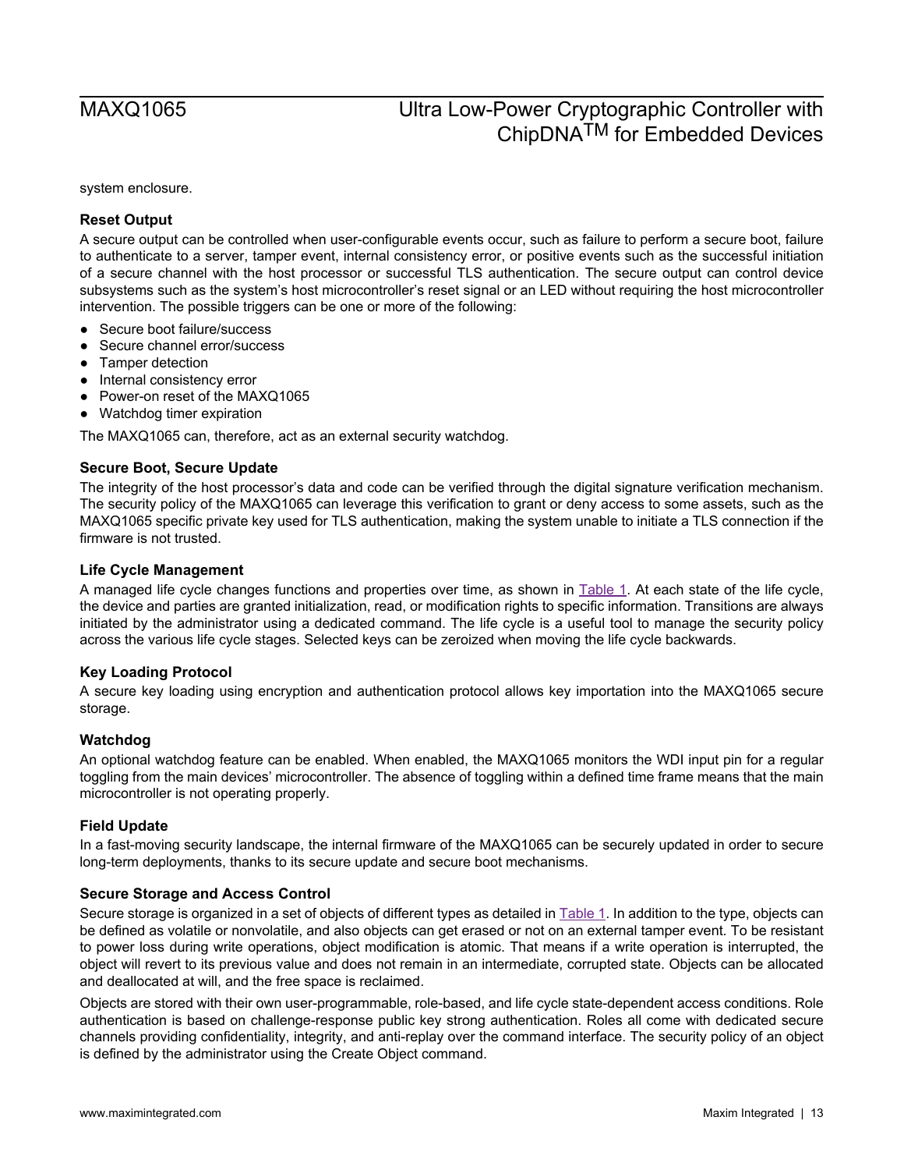system enclosure.

### **Reset Output**

A secure output can be controlled when user-configurable events occur, such as failure to perform a secure boot, failure to authenticate to a server, tamper event, internal consistency error, or positive events such as the successful initiation of a secure channel with the host processor or successful TLS authentication. The secure output can control device subsystems such as the system's host microcontroller's reset signal or an LED without requiring the host microcontroller intervention. The possible triggers can be one or more of the following:

- Secure boot failure/success
- Secure channel error/success
- Tamper detection
- Internal consistency error
- Power-on reset of the MAXQ1065
- Watchdog timer expiration

The MAXQ1065 can, therefore, act as an external security watchdog.

### **Secure Boot, Secure Update**

The integrity of the host processor's data and code can be verified through the digital signature verification mechanism. The security policy of the MAXQ1065 can leverage this verification to grant or deny access to some assets, such as the MAXQ1065 specific private key used for TLS authentication, making the system unable to initiate a TLS connection if the firmware is not trusted.

#### **Life Cycle Management**

A managed life cycle changes functions and properties over time, as shown in [Table 1.](#page-13-0) At each state of the life cycle, the device and parties are granted initialization, read, or modification rights to specific information. Transitions are always initiated by the administrator using a dedicated command. The life cycle is a useful tool to manage the security policy across the various life cycle stages. Selected keys can be zeroized when moving the life cycle backwards.

### **Key Loading Protocol**

A secure key loading using encryption and authentication protocol allows key importation into the MAXQ1065 secure storage.

#### **Watchdog**

An optional watchdog feature can be enabled. When enabled, the MAXQ1065 monitors the WDI input pin for a regular toggling from the main devices' microcontroller. The absence of toggling within a defined time frame means that the main microcontroller is not operating properly.

#### **Field Update**

In a fast-moving security landscape, the internal firmware of the MAXQ1065 can be securely updated in order to secure long-term deployments, thanks to its secure update and secure boot mechanisms.

#### **Secure Storage and Access Control**

Secure storage is organized in a set of objects of different types as detailed in [Table 1](#page-13-0). In addition to the type, objects can be defined as volatile or nonvolatile, and also objects can get erased or not on an external tamper event. To be resistant to power loss during write operations, object modification is atomic. That means if a write operation is interrupted, the object will revert to its previous value and does not remain in an intermediate, corrupted state. Objects can be allocated and deallocated at will, and the free space is reclaimed.

Objects are stored with their own user-programmable, role-based, and life cycle state-dependent access conditions. Role authentication is based on challenge-response public key strong authentication. Roles all come with dedicated secure channels providing confidentiality, integrity, and anti-replay over the command interface. The security policy of an object is defined by the administrator using the Create Object command.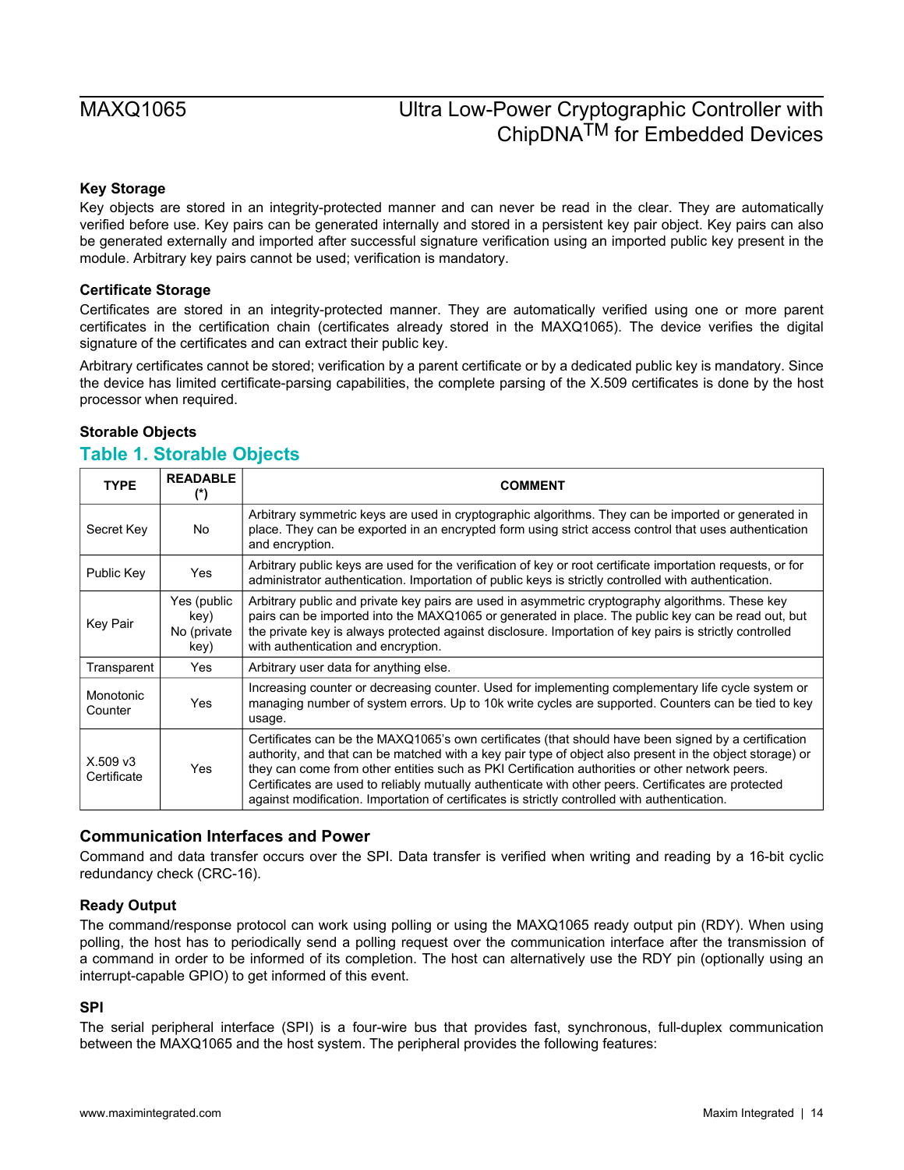### **Key Storage**

Key objects are stored in an integrity-protected manner and can never be read in the clear. They are automatically verified before use. Key pairs can be generated internally and stored in a persistent key pair object. Key pairs can also be generated externally and imported after successful signature verification using an imported public key present in the module. Arbitrary key pairs cannot be used; verification is mandatory.

#### **Certificate Storage**

Certificates are stored in an integrity-protected manner. They are automatically verified using one or more parent certificates in the certification chain (certificates already stored in the MAXQ1065). The device verifies the digital signature of the certificates and can extract their public key.

Arbitrary certificates cannot be stored; verification by a parent certificate or by a dedicated public key is mandatory. Since the device has limited certificate-parsing capabilities, the complete parsing of the X.509 certificates is done by the host processor when required.

#### **Storable Objects**

### <span id="page-13-0"></span>**Table 1. Storable Objects**

| <b>TYPE</b>                         | <b>READABLE</b>                            | <b>COMMENT</b>                                                                                                                                                                                                                                                                                                                                                                                                                                                                                                               |
|-------------------------------------|--------------------------------------------|------------------------------------------------------------------------------------------------------------------------------------------------------------------------------------------------------------------------------------------------------------------------------------------------------------------------------------------------------------------------------------------------------------------------------------------------------------------------------------------------------------------------------|
| Secret Key                          | No.                                        | Arbitrary symmetric keys are used in cryptographic algorithms. They can be imported or generated in<br>place. They can be exported in an encrypted form using strict access control that uses authentication<br>and encryption.                                                                                                                                                                                                                                                                                              |
| Public Key                          | Yes                                        | Arbitrary public keys are used for the verification of key or root certificate importation requests, or for<br>administrator authentication. Importation of public keys is strictly controlled with authentication.                                                                                                                                                                                                                                                                                                          |
| <b>Key Pair</b>                     | Yes (public<br>key)<br>No (private<br>key) | Arbitrary public and private key pairs are used in asymmetric cryptography algorithms. These key<br>pairs can be imported into the MAXQ1065 or generated in place. The public key can be read out, but<br>the private key is always protected against disclosure. Importation of key pairs is strictly controlled<br>with authentication and encryption.                                                                                                                                                                     |
| Transparent                         | Yes                                        | Arbitrary user data for anything else.                                                                                                                                                                                                                                                                                                                                                                                                                                                                                       |
| Monotonic<br>Counter                | Yes                                        | Increasing counter or decreasing counter. Used for implementing complementary life cycle system or<br>managing number of system errors. Up to 10k write cycles are supported. Counters can be tied to key<br>usage.                                                                                                                                                                                                                                                                                                          |
| X.509 <sub>V</sub> 3<br>Certificate | Yes                                        | Certificates can be the MAXQ1065's own certificates (that should have been signed by a certification<br>authority, and that can be matched with a key pair type of object also present in the object storage) or<br>they can come from other entities such as PKI Certification authorities or other network peers.<br>Certificates are used to reliably mutually authenticate with other peers. Certificates are protected<br>against modification. Importation of certificates is strictly controlled with authentication. |

### **Communication Interfaces and Power**

Command and data transfer occurs over the SPI. Data transfer is verified when writing and reading by a 16-bit cyclic redundancy check (CRC-16).

### **Ready Output**

The command/response protocol can work using polling or using the MAXQ1065 ready output pin (RDY). When using polling, the host has to periodically send a polling request over the communication interface after the transmission of a command in order to be informed of its completion. The host can alternatively use the RDY pin (optionally using an interrupt-capable GPIO) to get informed of this event.

### **SPI**

The serial peripheral interface (SPI) is a four-wire bus that provides fast, synchronous, full-duplex communication between the MAXQ1065 and the host system. The peripheral provides the following features: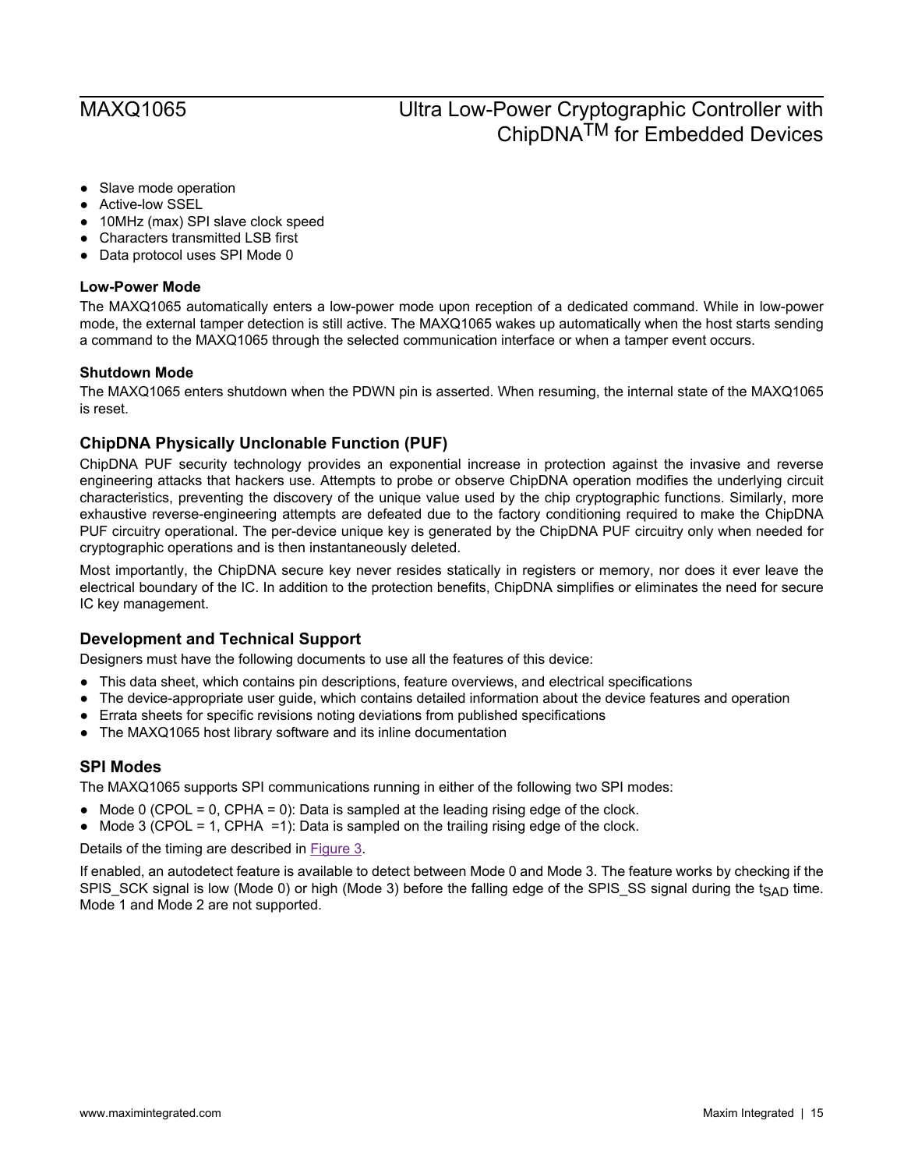- Slave mode operation
- **Active-low SSEL**
- 10MHz (max) SPI slave clock speed
- Characters transmitted LSB first
- Data protocol uses SPI Mode 0

#### **Low-Power Mode**

The MAXQ1065 automatically enters a low-power mode upon reception of a dedicated command. While in low-power mode, the external tamper detection is still active. The MAXQ1065 wakes up automatically when the host starts sending a command to the MAXQ1065 through the selected communication interface or when a tamper event occurs.

#### **Shutdown Mode**

The MAXQ1065 enters shutdown when the PDWN pin is asserted. When resuming, the internal state of the MAXQ1065 is reset.

### **ChipDNA Physically Unclonable Function (PUF)**

ChipDNA PUF security technology provides an exponential increase in protection against the invasive and reverse engineering attacks that hackers use. Attempts to probe or observe ChipDNA operation modifies the underlying circuit characteristics, preventing the discovery of the unique value used by the chip cryptographic functions. Similarly, more exhaustive reverse-engineering attempts are defeated due to the factory conditioning required to make the ChipDNA PUF circuitry operational. The per-device unique key is generated by the ChipDNA PUF circuitry only when needed for cryptographic operations and is then instantaneously deleted.

Most importantly, the ChipDNA secure key never resides statically in registers or memory, nor does it ever leave the electrical boundary of the IC. In addition to the protection benefits, ChipDNA simplifies or eliminates the need for secure IC key management.

### **Development and Technical Support**

Designers must have the following documents to use all the features of this device:

- This data sheet, which contains pin descriptions, feature overviews, and electrical specifications
- The device-appropriate user guide, which contains detailed information about the device features and operation
- Errata sheets for specific revisions noting deviations from published specifications
- The MAXQ1065 host library software and its inline documentation

### **SPI Modes**

The MAXQ1065 supports SPI communications running in either of the following two SPI modes:

- $\bullet$  Mode 0 (CPOL = 0, CPHA = 0): Data is sampled at the leading rising edge of the clock.
- $\bullet$  Mode 3 (CPOL = 1, CPHA = 1): Data is sampled on the trailing rising edge of the clock.

Details of the timing are described in [Figure 3](#page-15-0).

If enabled, an autodetect feature is available to detect between Mode 0 and Mode 3. The feature works by checking if the SPIS SCK signal is low (Mode 0) or high (Mode 3) before the falling edge of the SPIS SS signal during the t<sub>SAD</sub> time. Mode 1 and Mode 2 are not supported.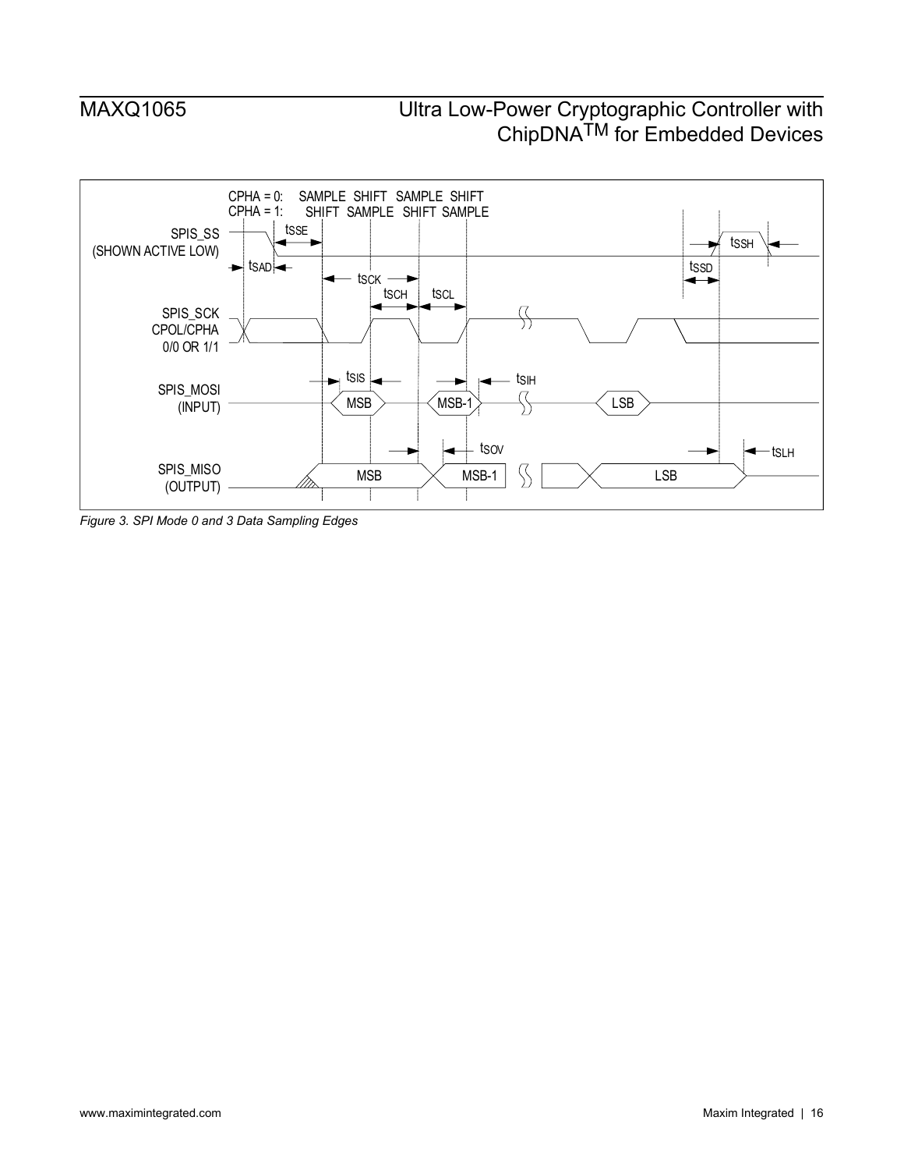<span id="page-15-0"></span>

*Figure 3. SPI Mode 0 and 3 Data Sampling Edges*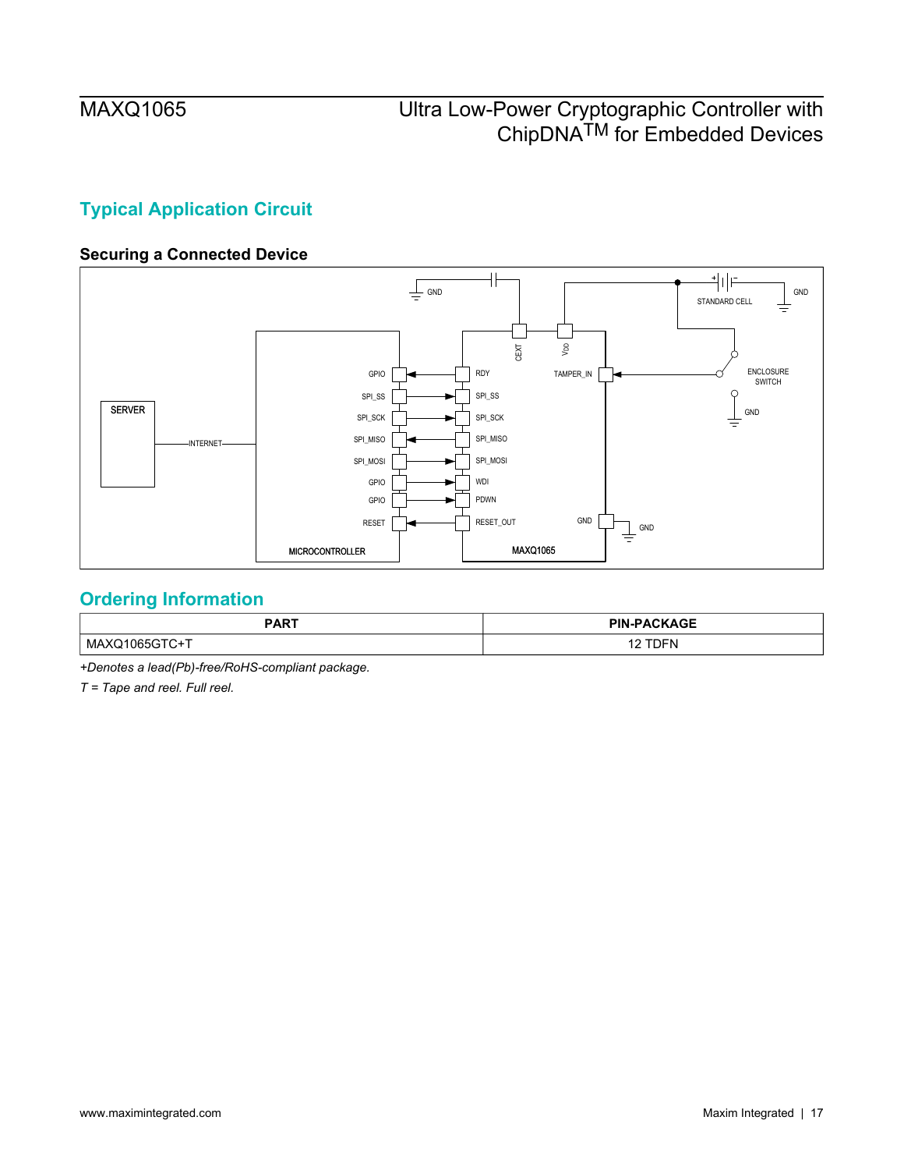## **Typical Application Circuit**

## **Securing a Connected Device**



## <span id="page-16-0"></span>**Ordering Information**

| DADT<br>ANI | <b>PIN-PACKAGE</b><br>the contract of the contract of the contract of the contract of the contract of the contract of the contract of |
|-------------|---------------------------------------------------------------------------------------------------------------------------------------|
| M,          | n                                                                                                                                     |

*+Denotes a lead(Pb)-free/RoHS-compliant package.*

*T = Tape and reel. Full reel.*